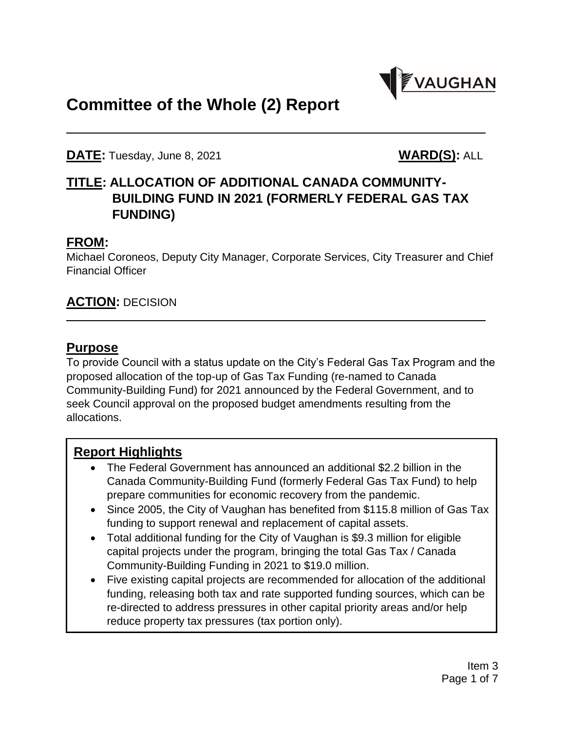

# **Committee of the Whole (2) Report**

**DATE:** Tuesday, June 8, 2021 **WARD(S):** ALL

# **TITLE: ALLOCATION OF ADDITIONAL CANADA COMMUNITY-BUILDING FUND IN 2021 (FORMERLY FEDERAL GAS TAX FUNDING)**

#### **FROM:**

Michael Coroneos, Deputy City Manager, Corporate Services, City Treasurer and Chief Financial Officer

## **ACTION:** DECISION

#### **Purpose**

To provide Council with a status update on the City's Federal Gas Tax Program and the proposed allocation of the top-up of Gas Tax Funding (re-named to Canada Community-Building Fund) for 2021 announced by the Federal Government, and to seek Council approval on the proposed budget amendments resulting from the allocations.

# **Report Highlights**

- The Federal Government has announced an additional \$2.2 billion in the Canada Community-Building Fund (formerly Federal Gas Tax Fund) to help prepare communities for economic recovery from the pandemic.
- Since 2005, the City of Vaughan has benefited from \$115.8 million of Gas Tax funding to support renewal and replacement of capital assets.
- Total additional funding for the City of Vaughan is \$9.3 million for eligible capital projects under the program, bringing the total Gas Tax / Canada Community-Building Funding in 2021 to \$19.0 million.
- Five existing capital projects are recommended for allocation of the additional funding, releasing both tax and rate supported funding sources, which can be re-directed to address pressures in other capital priority areas and/or help reduce property tax pressures (tax portion only).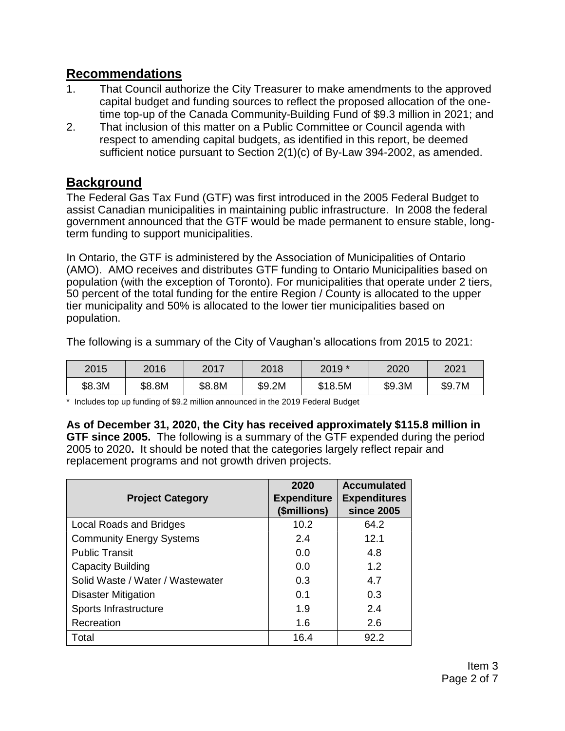#### **Recommendations**

- 1. That Council authorize the City Treasurer to make amendments to the approved capital budget and funding sources to reflect the proposed allocation of the onetime top-up of the Canada Community-Building Fund of \$9.3 million in 2021; and
- 2. That inclusion of this matter on a Public Committee or Council agenda with respect to amending capital budgets, as identified in this report, be deemed sufficient notice pursuant to Section 2(1)(c) of By-Law 394-2002, as amended.

## **Background**

The Federal Gas Tax Fund (GTF) was first introduced in the 2005 Federal Budget to assist Canadian municipalities in maintaining public infrastructure. In 2008 the federal government announced that the GTF would be made permanent to ensure stable, longterm funding to support municipalities.

In Ontario, the GTF is administered by the Association of Municipalities of Ontario (AMO). AMO receives and distributes GTF funding to Ontario Municipalities based on population (with the exception of Toronto). For municipalities that operate under 2 tiers, 50 percent of the total funding for the entire Region / County is allocated to the upper tier municipality and 50% is allocated to the lower tier municipalities based on population.

The following is a summary of the City of Vaughan's allocations from 2015 to 2021:

| 2015   | 2016   | 2017   | 2018   | 2019 *  | 2020   | 2021   |
|--------|--------|--------|--------|---------|--------|--------|
| \$8.3M | \$8.8M | \$8.8M | \$9.2M | \$18.5M | \$9.3M | \$9.7M |

\* Includes top up funding of \$9.2 million announced in the 2019 Federal Budget

**As of December 31, 2020, the City has received approximately \$115.8 million in GTF since 2005.** The following is a summary of the GTF expended during the period 2005 to 2020**.** It should be noted that the categories largely reflect repair and replacement programs and not growth driven projects.

| <b>Project Category</b>          | 2020<br><b>Expenditure</b><br>(\$millions) | <b>Accumulated</b><br><b>Expenditures</b><br><b>since 2005</b> |
|----------------------------------|--------------------------------------------|----------------------------------------------------------------|
| <b>Local Roads and Bridges</b>   | 10.2                                       | 64.2                                                           |
| <b>Community Energy Systems</b>  | 2.4                                        | 12.1                                                           |
| <b>Public Transit</b>            | 0.0                                        | 4.8                                                            |
| <b>Capacity Building</b>         | 0.0                                        | 1.2                                                            |
| Solid Waste / Water / Wastewater | 0.3                                        | 4.7                                                            |
| <b>Disaster Mitigation</b>       | 0.1                                        | 0.3                                                            |
| Sports Infrastructure            | 1.9                                        | 2.4                                                            |
| Recreation                       | 1.6                                        | 2.6                                                            |
| Total                            | 16.4                                       | 92.2                                                           |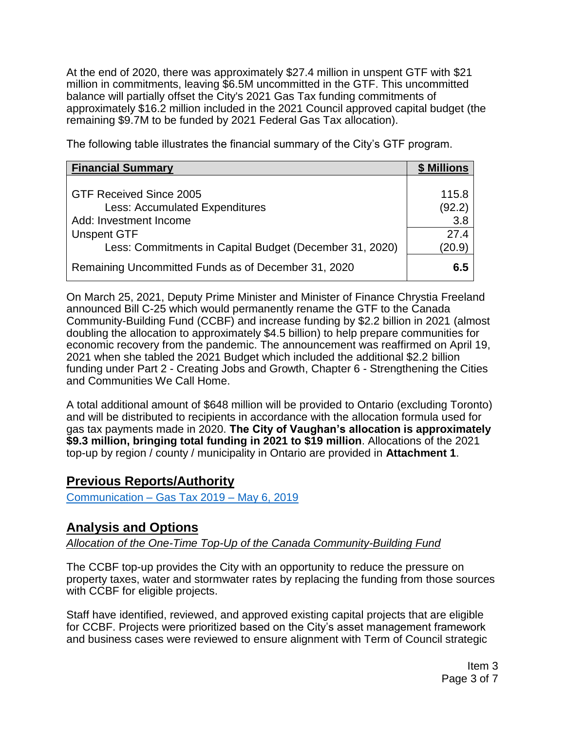At the end of 2020, there was approximately \$27.4 million in unspent GTF with \$21 million in commitments, leaving \$6.5M uncommitted in the GTF. This uncommitted balance will partially offset the City's 2021 Gas Tax funding commitments of approximately \$16.2 million included in the 2021 Council approved capital budget (the remaining \$9.7M to be funded by 2021 Federal Gas Tax allocation).

The following table illustrates the financial summary of the City's GTF program.

| <b>Financial Summary</b>                                | \$ Millions |  |
|---------------------------------------------------------|-------------|--|
| GTF Received Since 2005                                 | 115.8       |  |
| <b>Less: Accumulated Expenditures</b>                   | (92.2)      |  |
| Add: Investment Income                                  | 3.8         |  |
| <b>Unspent GTF</b>                                      | 27.4        |  |
| Less: Commitments in Capital Budget (December 31, 2020) | (20.9)      |  |
| Remaining Uncommitted Funds as of December 31, 2020     | 6.5         |  |

On March 25, 2021, Deputy Prime Minister and Minister of Finance Chrystia Freeland announced Bill C-25 which would permanently rename the GTF to the Canada Community-Building Fund (CCBF) and increase funding by \$2.2 billion in 2021 (almost doubling the allocation to approximately \$4.5 billion) to help prepare communities for economic recovery from the pandemic. The announcement was reaffirmed on April 19, 2021 when she tabled the 2021 Budget which included the additional \$2.2 billion funding under Part 2 - Creating Jobs and Growth, Chapter 6 - Strengthening the Cities and Communities We Call Home.

A total additional amount of \$648 million will be provided to Ontario (excluding Toronto) and will be distributed to recipients in accordance with the allocation formula used for gas tax payments made in 2020. **The City of Vaughan's allocation is approximately \$9.3 million, bringing total funding in 2021 to \$19 million**. Allocations of the 2021 top-up by region / county / municipality in Ontario are provided in **Attachment 1**.

### **Previous Reports/Authority**

[Communication –](https://vaughan.escribemeetings.com/Finance,%20Administration%20and%20Audit%20Committee_May06_2019/eSCRIBE%20Documents/eSCRIBE%20Attachments/0506-19%20FAA%20(AM)%20Communications.pdf) Gas Tax 2019 – May 6, 2019

### **Analysis and Options**

#### *Allocation of the One-Time Top-Up of the Canada Community-Building Fund*

The CCBF top-up provides the City with an opportunity to reduce the pressure on property taxes, water and stormwater rates by replacing the funding from those sources with CCBF for eligible projects.

Staff have identified, reviewed, and approved existing capital projects that are eligible for CCBF. Projects were prioritized based on the City's asset management framework and business cases were reviewed to ensure alignment with Term of Council strategic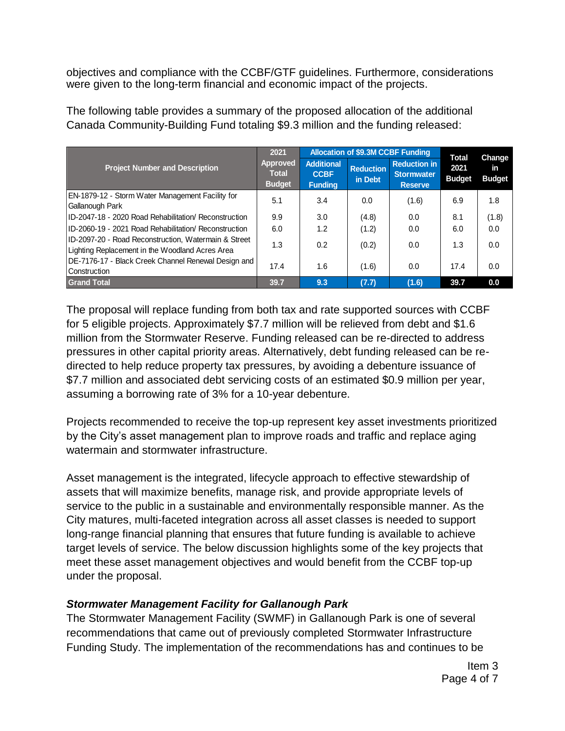objectives and compliance with the CCBF/GTF guidelines. Furthermore, considerations were given to the long-term financial and economic impact of the projects.

|                                                                                                         | 2021<br><b>Approved</b><br><b>Total</b><br><b>Budget</b> | <b>Allocation of \$9.3M CCBF Funding</b>           |                             |                                                            | <b>Total</b>          | Change              |
|---------------------------------------------------------------------------------------------------------|----------------------------------------------------------|----------------------------------------------------|-----------------------------|------------------------------------------------------------|-----------------------|---------------------|
| <b>Project Number and Description</b>                                                                   |                                                          | <b>Additional</b><br><b>CCBF</b><br><b>Funding</b> | <b>Reduction</b><br>in Debt | <b>Reduction in</b><br><b>Stormwater</b><br><b>Reserve</b> | 2021<br><b>Budget</b> | in<br><b>Budget</b> |
| EN-1879-12 - Storm Water Management Facility for<br>Gallanough Park                                     | 5.1                                                      | 3.4                                                | 0.0                         | (1.6)                                                      | 6.9                   | 1.8                 |
| ID-2047-18 - 2020 Road Rehabilitation/ Reconstruction                                                   | 9.9                                                      | 3.0                                                | (4.8)                       | 0.0                                                        | 8.1                   | (1.8)               |
| IID-2060-19 - 2021 Road Rehabilitation/ Reconstruction                                                  | 6.0                                                      | 1.2                                                | (1.2)                       | 0.0                                                        | 6.0                   | 0.0                 |
| ID-2097-20 - Road Reconstruction, Watermain & Street<br>Lighting Replacement in the Woodland Acres Area | 1.3                                                      | 0.2                                                | (0.2)                       | 0.0                                                        | 1.3                   | 0.0                 |
| DE-7176-17 - Black Creek Channel Renewal Design and<br>Construction                                     | 17.4                                                     | 1.6                                                | (1.6)                       | 0.0                                                        | 17.4                  | 0.0                 |
| <b>Grand Total</b>                                                                                      | 39.7                                                     | 9.3                                                | (7.7)                       | (1.6)                                                      | 39.7                  | 0.0                 |

The following table provides a summary of the proposed allocation of the additional Canada Community-Building Fund totaling \$9.3 million and the funding released:

The proposal will replace funding from both tax and rate supported sources with CCBF for 5 eligible projects. Approximately \$7.7 million will be relieved from debt and \$1.6 million from the Stormwater Reserve. Funding released can be re-directed to address pressures in other capital priority areas. Alternatively, debt funding released can be redirected to help reduce property tax pressures, by avoiding a debenture issuance of \$7.7 million and associated debt servicing costs of an estimated \$0.9 million per year, assuming a borrowing rate of 3% for a 10-year debenture.

Projects recommended to receive the top-up represent key asset investments prioritized by the City's asset management plan to improve roads and traffic and replace aging watermain and stormwater infrastructure.

Asset management is the integrated, lifecycle approach to effective stewardship of assets that will maximize benefits, manage risk, and provide appropriate levels of service to the public in a sustainable and environmentally responsible manner. As the City matures, multi-faceted integration across all asset classes is needed to support long-range financial planning that ensures that future funding is available to achieve target levels of service. The below discussion highlights some of the key projects that meet these asset management objectives and would benefit from the CCBF top-up under the proposal.

#### *Stormwater Management Facility for Gallanough Park*

The Stormwater Management Facility (SWMF) in Gallanough Park is one of several recommendations that came out of previously completed Stormwater Infrastructure Funding Study. The implementation of the recommendations has and continues to be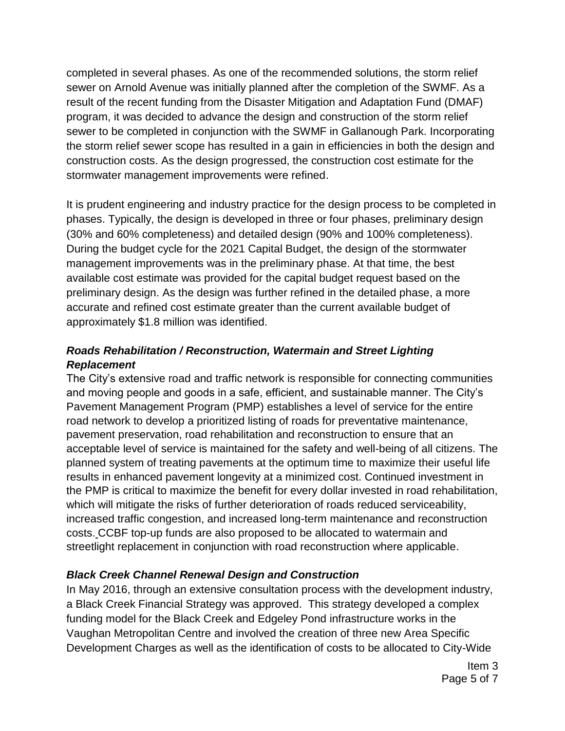completed in several phases. As one of the recommended solutions, the storm relief sewer on Arnold Avenue was initially planned after the completion of the SWMF. As a result of the recent funding from the Disaster Mitigation and Adaptation Fund (DMAF) program, it was decided to advance the design and construction of the storm relief sewer to be completed in conjunction with the SWMF in Gallanough Park. Incorporating the storm relief sewer scope has resulted in a gain in efficiencies in both the design and construction costs. As the design progressed, the construction cost estimate for the stormwater management improvements were refined.

It is prudent engineering and industry practice for the design process to be completed in phases. Typically, the design is developed in three or four phases, preliminary design (30% and 60% completeness) and detailed design (90% and 100% completeness). During the budget cycle for the 2021 Capital Budget, the design of the stormwater management improvements was in the preliminary phase. At that time, the best available cost estimate was provided for the capital budget request based on the preliminary design. As the design was further refined in the detailed phase, a more accurate and refined cost estimate greater than the current available budget of approximately \$1.8 million was identified.

#### *Roads Rehabilitation / Reconstruction, Watermain and Street Lighting Replacement*

The City's extensive road and traffic network is responsible for connecting communities and moving people and goods in a safe, efficient, and sustainable manner. The City's Pavement Management Program (PMP) establishes a level of service for the entire road network to develop a prioritized listing of roads for preventative maintenance, pavement preservation, road rehabilitation and reconstruction to ensure that an acceptable level of service is maintained for the safety and well-being of all citizens. The planned system of treating pavements at the optimum time to maximize their useful life results in enhanced pavement longevity at a minimized cost. Continued investment in the PMP is critical to maximize the benefit for every dollar invested in road rehabilitation, which will mitigate the risks of further deterioration of roads reduced serviceability, increased traffic congestion, and increased long-term maintenance and reconstruction costs. CCBF top-up funds are also proposed to be allocated to watermain and streetlight replacement in conjunction with road reconstruction where applicable.

#### *Black Creek Channel Renewal Design and Construction*

In May 2016, through an extensive consultation process with the development industry, a Black Creek Financial Strategy was approved. This strategy developed a complex funding model for the Black Creek and Edgeley Pond infrastructure works in the Vaughan Metropolitan Centre and involved the creation of three new Area Specific Development Charges as well as the identification of costs to be allocated to City-Wide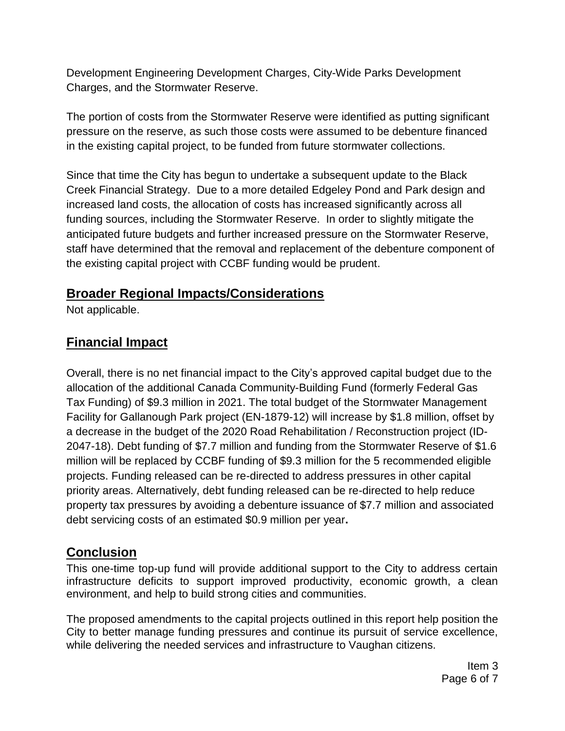Development Engineering Development Charges, City-Wide Parks Development Charges, and the Stormwater Reserve.

The portion of costs from the Stormwater Reserve were identified as putting significant pressure on the reserve, as such those costs were assumed to be debenture financed in the existing capital project, to be funded from future stormwater collections.

Since that time the City has begun to undertake a subsequent update to the Black Creek Financial Strategy. Due to a more detailed Edgeley Pond and Park design and increased land costs, the allocation of costs has increased significantly across all funding sources, including the Stormwater Reserve. In order to slightly mitigate the anticipated future budgets and further increased pressure on the Stormwater Reserve, staff have determined that the removal and replacement of the debenture component of the existing capital project with CCBF funding would be prudent.

# **Broader Regional Impacts/Considerations**

Not applicable.

# **Financial Impact**

Overall, there is no net financial impact to the City's approved capital budget due to the allocation of the additional Canada Community-Building Fund (formerly Federal Gas Tax Funding) of \$9.3 million in 2021. The total budget of the Stormwater Management Facility for Gallanough Park project (EN-1879-12) will increase by \$1.8 million, offset by a decrease in the budget of the 2020 Road Rehabilitation / Reconstruction project (ID-2047-18). Debt funding of \$7.7 million and funding from the Stormwater Reserve of \$1.6 million will be replaced by CCBF funding of \$9.3 million for the 5 recommended eligible projects. Funding released can be re-directed to address pressures in other capital priority areas. Alternatively, debt funding released can be re-directed to help reduce property tax pressures by avoiding a debenture issuance of \$7.7 million and associated debt servicing costs of an estimated \$0.9 million per year**.**

# **Conclusion**

This one-time top-up fund will provide additional support to the City to address certain infrastructure deficits to support improved productivity, economic growth, a clean environment, and help to build strong cities and communities.

The proposed amendments to the capital projects outlined in this report help position the City to better manage funding pressures and continue its pursuit of service excellence, while delivering the needed services and infrastructure to Vaughan citizens.